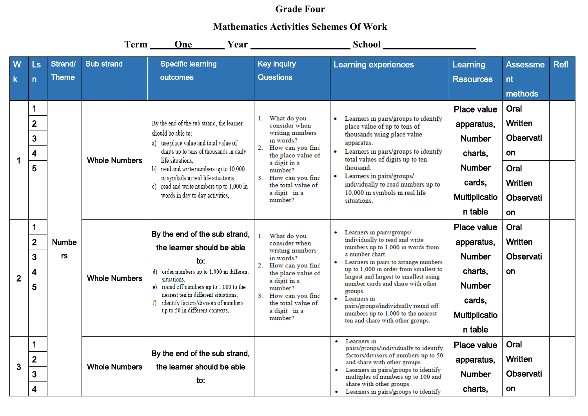## **Grade Four**

## **Mathematics Activities Schemes Of Work**

|                  |                                                          |                         |                      |                                                                                                                                                                                                                                                                                                                                         |                                                                                                                                                                                                                                   | Term One Year Year School                                                                                                                                                                                                                                                                                                                                                                                                                  |                                                                                                                     |                                                                                               |             |
|------------------|----------------------------------------------------------|-------------------------|----------------------|-----------------------------------------------------------------------------------------------------------------------------------------------------------------------------------------------------------------------------------------------------------------------------------------------------------------------------------------|-----------------------------------------------------------------------------------------------------------------------------------------------------------------------------------------------------------------------------------|--------------------------------------------------------------------------------------------------------------------------------------------------------------------------------------------------------------------------------------------------------------------------------------------------------------------------------------------------------------------------------------------------------------------------------------------|---------------------------------------------------------------------------------------------------------------------|-----------------------------------------------------------------------------------------------|-------------|
| W<br>$\mathsf k$ | $\mathsf{L}\mathsf{s}$<br>$\overline{n}$                 | Strand/<br><b>Theme</b> | <b>Sub strand</b>    | <b>Specific learning</b><br>outcomes                                                                                                                                                                                                                                                                                                    | <b>Key inquiry</b><br><b>Questions</b>                                                                                                                                                                                            | <b>Learning experiences</b>                                                                                                                                                                                                                                                                                                                                                                                                                | Learning<br><b>Resources</b>                                                                                        | <b>Assessme</b><br>nt<br>methods                                                              | <b>Refl</b> |
| $\mathbf 1$      | 1<br>$\overline{2}$<br>3<br>$\overline{\mathbf{4}}$<br>5 |                         | <b>Whole Numbers</b> | By the end of the sub strand, the learner<br>should be able to:<br>a) use place value and total value of<br>digits up to tens of thousands in daily<br>life situations.<br>b) read and write numbers up to 10,000<br>in symbols in real life situations,<br>c) read and write numbers up to 1,000 in<br>words in day to day activities, | What do you<br>1.<br>consider when<br>writing numbers<br>in words?<br>2.<br>How can you find<br>the place value of<br>a digit in a<br>number?<br>3.<br>How can you find<br>the total value of<br>a digit in a<br>number?          | Learners in pairs/groups to identify<br>place value of up to tens of<br>thousands using place value<br>apparatus.<br>Learners in pairs/groups to identify<br>total values of digits up to ten<br>thousand.<br>Learners in pairs/groups/<br>individually to read numbers up to<br>10,000 in symbols in real life<br>situations.                                                                                                             | Place value<br>apparatus,<br><b>Number</b><br>charts,<br><b>Number</b><br>cards,<br><b>Multiplicatio</b><br>n table | Oral<br><b>Written</b><br>Observati<br>on<br>Oral<br><b>Written</b><br><b>Observati</b><br>on |             |
| $\overline{2}$   | 1<br>$\overline{2}$<br>$\overline{3}$<br>4<br>5          | <b>Numbe</b><br>rs      | <b>Whole Numbers</b> | By the end of the sub strand,<br>the learner should be able<br>to:<br>d) order numbers up to 1,000 in different<br>situations.<br>e) round off numbers up to 1,000 to the<br>nearest ten in different situations.<br>f) identify factors/divisors of numbers<br>up to 50 in different contexts,                                         | 1. What do you<br>consider when<br>writing numbers<br>in words?<br>2.<br>How can you find<br>the place value of<br>a digit in a<br>number?<br>3 <sub>1</sub><br>How can you find<br>the total value of<br>a digit in a<br>number? | Learners in pairs/groups/<br>individually to read and write<br>numbers up to 1,000 in words from<br>a number chart.<br>Learners in pairs to arrange numbers<br>up to 1,000 in order from smallest to<br>largest and largest to smallest using<br>number cards and share with other<br>groups.<br>Learners in<br>$\bullet$<br>pairs/groups/individually round off<br>numbers up to 1,000 to the nearest<br>ten and share with other groups. | Place value<br>apparatus,<br><b>Number</b><br>charts,<br><b>Number</b><br>cards,<br><b>Multiplicatio</b><br>n table | Oral<br><b>Written</b><br>Observati<br>on                                                     |             |
| 3                | 1<br>$\overline{2}$<br>3<br>$\overline{\mathbf{4}}$      |                         | <b>Whole Numbers</b> | By the end of the sub strand,<br>the learner should be able<br>to:                                                                                                                                                                                                                                                                      |                                                                                                                                                                                                                                   | Learners in<br>pairs/groups/individually to identify<br>factors/divisors of numbers up to 50<br>and share with other groups.<br>Learners in pairs/groups to identify<br>multiples of numbers up to 100 and<br>share with other groups.<br>• Learners in pairs/groups to identify                                                                                                                                                           | Place value<br>apparatus,<br><b>Number</b><br>charts,                                                               | Oral<br><b>Written</b><br><b>Observati</b><br>on                                              |             |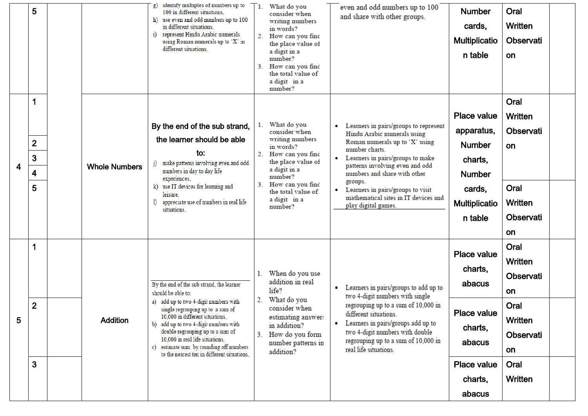|   | 5                        |                      | identify multiples of numbers up to<br>g)<br>100 in different situations,<br>use even and odd numbers up to 100<br>h)<br>in different situations.<br>i) represent Hindu Arabic numerals<br>using Roman numerals up to 'X' in<br>different situations.                                                                  |                                                                                                      | What do you<br>consider when<br>writing numbers<br>in words?<br>2. How can you find<br>the place value of                                                                                   |                                           | even and odd numbers up to 100<br>and share with other groups.                                                                                                                                        | <b>Number</b><br>cards,<br><b>Multiplicatio</b> | Oral<br>Written<br>Observati       |  |
|---|--------------------------|----------------------|------------------------------------------------------------------------------------------------------------------------------------------------------------------------------------------------------------------------------------------------------------------------------------------------------------------------|------------------------------------------------------------------------------------------------------|---------------------------------------------------------------------------------------------------------------------------------------------------------------------------------------------|-------------------------------------------|-------------------------------------------------------------------------------------------------------------------------------------------------------------------------------------------------------|-------------------------------------------------|------------------------------------|--|
|   |                          |                      |                                                                                                                                                                                                                                                                                                                        |                                                                                                      | a digit in a<br>number?<br>3. How can you find<br>the total value of<br>a digit in a<br>number?                                                                                             |                                           |                                                                                                                                                                                                       | n table                                         | on                                 |  |
|   | 1                        |                      | By the end of the sub strand,                                                                                                                                                                                                                                                                                          |                                                                                                      | 1. What do you<br>consider when                                                                                                                                                             |                                           | Learners in pairs/groups to represent                                                                                                                                                                 | Place value<br>apparatus,                       | Oral<br>Written<br>Observati       |  |
| 4 | $\overline{2}$<br>3<br>4 | <b>Whole Numbers</b> | the learner should be able<br>to:<br>make patterns involving even and odd<br>numbers in day to day life                                                                                                                                                                                                                | writing numbers<br>in words?<br>2. How can you find<br>the place value of<br>a digit in a<br>number? | Hindu Arabic numerals using<br>Roman numerals up to 'X' using<br>number charts.<br>Learners in pairs/groups to make<br>۰<br>patterns involving even and odd<br>numbers and share with other | <b>Number</b><br>charts,<br><b>Number</b> | on                                                                                                                                                                                                    |                                                 |                                    |  |
|   | 5                        |                      | experiences,<br>use IT devices for learning and<br>k)<br>leisure,<br>appreciate use of numbers in real life<br>$\bf{I}$<br>situations.                                                                                                                                                                                 |                                                                                                      | 3. How can you find<br>the total value of<br>a digit in a<br>number?                                                                                                                        | ۰                                         | groups.<br>Learners in pairs/groups to visit<br>mathematical sites in IT devices and<br>play digital games.                                                                                           | cards,<br><b>Multiplicatio</b><br>n table       | Oral<br>Written<br>Observati       |  |
|   |                          |                      |                                                                                                                                                                                                                                                                                                                        |                                                                                                      |                                                                                                                                                                                             |                                           |                                                                                                                                                                                                       |                                                 | on                                 |  |
|   |                          |                      | By the end of the sub strand, the learner<br>should be able to:                                                                                                                                                                                                                                                        |                                                                                                      | 1. When do you use<br>addition in real<br>life?                                                                                                                                             |                                           | Learners in pairs/groups to add up to<br>two 4-digit numbers with single                                                                                                                              | <b>Place value</b><br>charts,<br>abacus         | Oral<br>Written<br>Observati<br>on |  |
| 5 | $\mathbf{2}$             | <b>Addition</b>      | a) add up to two 4-digit numbers with<br>single regrouping up to a sum of<br>10,000 in different situations,<br>b) add up to two 4-digit numbers with<br>double regrouping up to a sum of<br>10,000 in real life situations,<br>c) estimate sum by rounding off numbers<br>to the nearest ten in different situations, | 2.<br>3.                                                                                             | What do you<br>consider when<br>estimating answers<br>in addition?<br>How do you form<br>number patterns in<br>addition?                                                                    | $\bullet$                                 | regrouping up to a sum of 10,000 in<br>different situations.<br>Learners in pairs/groups add up to<br>two 4-digit numbers with double<br>regrouping up to a sum of 10,000 in<br>real life situations. | Place value<br>charts,<br>abacus                | Oral<br>Written<br>Observati<br>on |  |
|   | 3                        |                      |                                                                                                                                                                                                                                                                                                                        |                                                                                                      |                                                                                                                                                                                             |                                           |                                                                                                                                                                                                       | Place value<br>charts,<br>abacus                | Oral<br>Written                    |  |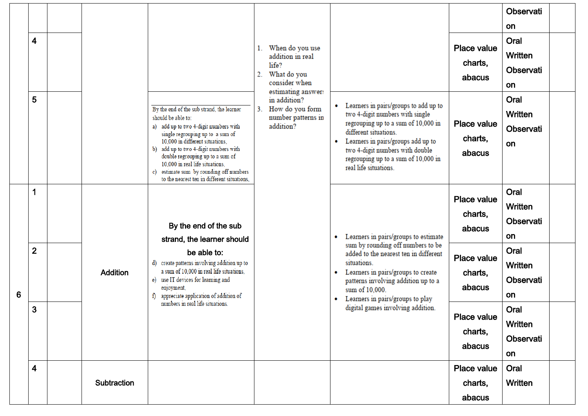|   |                         |  |                 |                                                                                                                                                                                                                                                                                                                                                                                              |                                                                                                                                                                                                           |                                                                                                    |                |                                                                                                                                                                                                                                                                                   |                                                                                                                                                                                                                              | Observati                                 |                                           |  |
|---|-------------------------|--|-----------------|----------------------------------------------------------------------------------------------------------------------------------------------------------------------------------------------------------------------------------------------------------------------------------------------------------------------------------------------------------------------------------------------|-----------------------------------------------------------------------------------------------------------------------------------------------------------------------------------------------------------|----------------------------------------------------------------------------------------------------|----------------|-----------------------------------------------------------------------------------------------------------------------------------------------------------------------------------------------------------------------------------------------------------------------------------|------------------------------------------------------------------------------------------------------------------------------------------------------------------------------------------------------------------------------|-------------------------------------------|-------------------------------------------|--|
|   |                         |  |                 |                                                                                                                                                                                                                                                                                                                                                                                              |                                                                                                                                                                                                           |                                                                                                    |                |                                                                                                                                                                                                                                                                                   |                                                                                                                                                                                                                              | on                                        |                                           |  |
|   | $\overline{\mathbf{4}}$ |  |                 |                                                                                                                                                                                                                                                                                                                                                                                              | 1.<br>2.                                                                                                                                                                                                  | When do you use<br>addition in real<br>life?<br>What do you<br>consider when<br>estimating answer: |                |                                                                                                                                                                                                                                                                                   | Place value<br>charts,<br>abacus                                                                                                                                                                                             | Oral<br>Written<br>Observati<br>on        |                                           |  |
|   | 5                       |  |                 | By the end of the sub strand, the learner<br>should be able to:<br>a) add up to two 4-digit numbers with<br>single regrouping up to a sum of<br>10,000 in different situations,<br>b) add up to two 4-digit numbers with<br>double regrouping up to a sum of<br>10,000 in real life situations,<br>estimate sum by rounding off numbers<br>c)<br>to the nearest ten in different situations, | 3.                                                                                                                                                                                                        | in addition?<br>How do you form<br>number patterns in<br>addition?                                 | $\bullet$<br>٠ | Learners in pairs/groups to add up to<br>two 4-digit numbers with single<br>regrouping up to a sum of 10,000 in<br>different situations.<br>Learners in pairs/groups add up to<br>two 4-digit numbers with double<br>regrouping up to a sum of 10,000 in<br>real life situations. | <b>Place value</b><br>charts,<br>abacus                                                                                                                                                                                      | Oral<br>Written<br>Observati<br>on        |                                           |  |
|   | 1                       |  |                 | By the end of the sub<br>strand, the learner should                                                                                                                                                                                                                                                                                                                                          |                                                                                                                                                                                                           |                                                                                                    | ۰              | Learners in pairs/groups to estimate                                                                                                                                                                                                                                              | Place value<br>charts,<br>abacus                                                                                                                                                                                             | Oral<br><b>Written</b><br>Observati<br>on |                                           |  |
| 6 | $\overline{2}$          |  | <b>Addition</b> |                                                                                                                                                                                                                                                                                                                                                                                              | be able to:<br>d) create patterns involving addition up to<br>a sum of 10,000 in real life situations,<br>e) use IT devices for learning and<br>enjoyment,<br>appreciate application of addition of<br>f) |                                                                                                    |                | ٠<br>۰                                                                                                                                                                                                                                                                            | sum by rounding off numbers to be<br>added to the nearest ten in different<br>situations.<br>Learners in pairs/groups to create<br>patterns involving addition up to a<br>sum of 10,000.<br>Learners in pairs/groups to play | Place value<br>charts,<br>abacus          | Oral<br><b>Written</b><br>Observati<br>on |  |
|   | $\mathbf{3}$            |  |                 | numbers in real life situations.                                                                                                                                                                                                                                                                                                                                                             |                                                                                                                                                                                                           |                                                                                                    |                | digital games involving addition.                                                                                                                                                                                                                                                 | Place value<br>charts,<br>abacus                                                                                                                                                                                             | Oral<br>Written<br>Observati<br>on        |                                           |  |
|   | $\overline{\mathbf{4}}$ |  | Subtraction     |                                                                                                                                                                                                                                                                                                                                                                                              |                                                                                                                                                                                                           |                                                                                                    |                |                                                                                                                                                                                                                                                                                   | Place value<br>charts,<br>abacus                                                                                                                                                                                             | Oral<br>Written                           |                                           |  |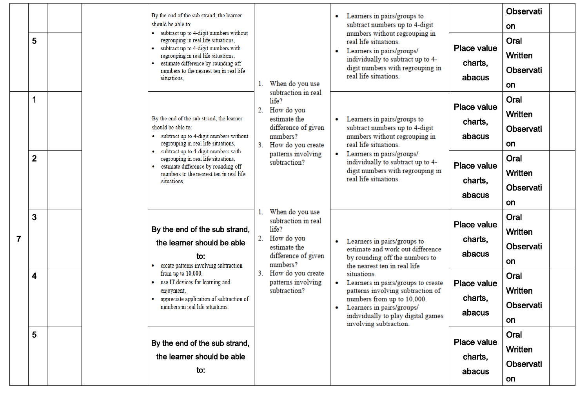| 5            |  |  | By the end of the sub strand, the learner<br>should be able to:<br>• subtract up to 4-digit numbers without<br>regrouping in real life situations,<br>subtract up to 4-digit numbers with<br>regrouping in real life situations,<br>estimate difference by rounding off<br>numbers to the nearest ten in real life<br>situations.          | 1.                                                                                                                                | When do you use<br>subtraction in real                                                                                                               | $\bullet$<br>٠                                                                                 | Learners in pairs/groups to<br>subtract numbers up to 4-digit<br>numbers without regrouping in<br>real life situations.<br>Learners in pairs/groups/<br>individually to subtract up to 4-<br>digit numbers with regrouping in<br>real life situations. | <b>Place value</b><br>charts,<br>abacus   | Observati<br>on<br>Oral<br><b>Written</b><br>Observati<br>on |  |
|--------------|--|--|--------------------------------------------------------------------------------------------------------------------------------------------------------------------------------------------------------------------------------------------------------------------------------------------------------------------------------------------|-----------------------------------------------------------------------------------------------------------------------------------|------------------------------------------------------------------------------------------------------------------------------------------------------|------------------------------------------------------------------------------------------------|--------------------------------------------------------------------------------------------------------------------------------------------------------------------------------------------------------------------------------------------------------|-------------------------------------------|--------------------------------------------------------------|--|
| 1            |  |  | life?<br>2.<br>How do you<br>By the end of the sub strand, the learner<br>estimate the<br>$\bullet$<br>should be able to:<br>difference of given<br>• subtract up to 4-digit numbers without<br>numbers?<br>regrouping in real life situations,<br>3 <sub>1</sub><br>How do you create<br>subtract up to 4-digit numbers with<br>$\bullet$ | patterns involving<br>subtraction?                                                                                                | Learners in pairs/groups to<br>subtract numbers up to 4-digit<br>numbers without regrouping in<br>real life situations.<br>Learners in pairs/groups/ | <b>Place value</b><br>charts,<br>abacus                                                        | Oral<br><b>Written</b><br>Observati<br>on                                                                                                                                                                                                              |                                           |                                                              |  |
| $\mathbf{2}$ |  |  | regrouping in real life situations,<br>estimate difference by rounding off<br>numbers to the nearest ten in real life<br>situations.                                                                                                                                                                                                       |                                                                                                                                   |                                                                                                                                                      | individually to subtract up to 4-<br>digit numbers with regrouping in<br>real life situations. | <b>Place value</b><br>charts,<br>abacus                                                                                                                                                                                                                | Oral<br><b>Written</b><br>Observati<br>on |                                                              |  |
| 3            |  |  | When do you use<br>subtraction in real<br>life?<br>By the end of the sub strand,<br>2.<br>How do you<br>$\bullet$<br>the learner should be able<br>estimate the<br>difference of given<br>to:<br>numbers?<br>create patterns involving subtraction                                                                                         | Learners in pairs/groups to<br>estimate and work out difference<br>by rounding off the numbers to<br>the nearest ten in real life | <b>Place value</b><br>charts,<br>abacus                                                                                                              | Oral<br>Written<br>Observati<br>on                                                             |                                                                                                                                                                                                                                                        |                                           |                                                              |  |
| 4            |  |  | from up to 10,000,<br>use IT devices for learning and<br>enjoyment,<br>appreciate application of subtraction of<br>numbers in real life situations.                                                                                                                                                                                        | $3_{-}$<br>subtraction?                                                                                                           | How do you create<br>patterns involving                                                                                                              | $\bullet$<br>٠                                                                                 | situations.<br>Learners in pairs/groups to create<br>patterns involving subtraction of<br>numbers from up to 10,000.<br>Learners in pairs/groups/<br>individually to play digital games<br>involving subtraction.                                      | <b>Place value</b><br>charts,<br>abacus   | Oral<br>Written<br>Observati<br>on                           |  |
| 5            |  |  | By the end of the sub strand,<br>the learner should be able<br>to:                                                                                                                                                                                                                                                                         |                                                                                                                                   |                                                                                                                                                      |                                                                                                |                                                                                                                                                                                                                                                        | Place value<br>charts,<br>abacus          | Oral<br>Written<br>Observati<br>on                           |  |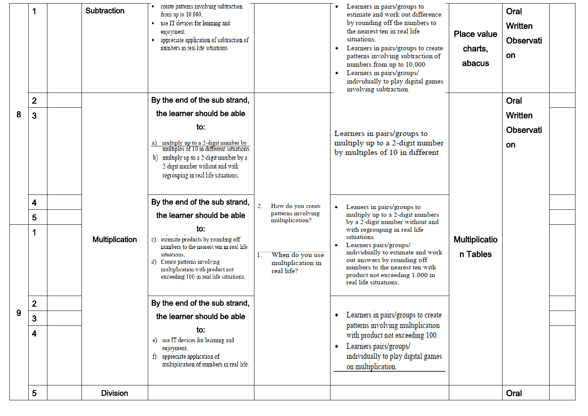|   | 1              | <b>Subtraction</b>    | create patterns involving subtraction<br>from up to $10,000$ ,<br>use IT devices for learning and<br>۰<br>enjoyment,<br>appreciate application of subtraction of<br>numbers in real life situations.                                             |                                                                             | Learners in pairs/groups to<br>estimate and work out difference<br>by rounding off the numbers to<br>the nearest ten in real life<br>situations.<br>Learners in pairs/groups to create<br>patterns involving subtraction of<br>numbers from up to 10,000.<br>Learners in pairs/groups/<br>individually to play digital games<br>involving subtraction. | Place value<br>charts,<br>abacus | Oral<br>Written<br>Observati<br>on |  |
|---|----------------|-----------------------|--------------------------------------------------------------------------------------------------------------------------------------------------------------------------------------------------------------------------------------------------|-----------------------------------------------------------------------------|--------------------------------------------------------------------------------------------------------------------------------------------------------------------------------------------------------------------------------------------------------------------------------------------------------------------------------------------------------|----------------------------------|------------------------------------|--|
|   | $\overline{2}$ |                       | By the end of the sub strand,                                                                                                                                                                                                                    |                                                                             |                                                                                                                                                                                                                                                                                                                                                        |                                  | Oral                               |  |
| 8 | 3              |                       | the learner should be able<br>to:<br>a) multiply up to a 2-digit number by<br>multiples of 10 in different situations.<br>b) multiply up to a 2-digit number by a<br>2-digit number without and with<br>regrouping in real life situations,      |                                                                             | Learners in pairs/groups to<br>multiply up to a 2-digit number<br>by multiples of 10 in different                                                                                                                                                                                                                                                      |                                  | Written<br>Observati<br>on         |  |
|   | 4              |                       | By the end of the sub strand,                                                                                                                                                                                                                    | 2.<br>How do you create<br>patterns involving                               | Leaners in pairs/groups to                                                                                                                                                                                                                                                                                                                             |                                  |                                    |  |
|   | 5<br>1         | <b>Multiplication</b> | the learner should be able<br>to:<br>c) estimate products by rounding off<br>numbers to the nearest ten in real life<br>situations.<br>d) Create patterns involving<br>multiplication with product not<br>exceeding 100 in real life situations, | multiplication?<br>When do you use<br>1.<br>multiplication in<br>real life? | multiply up to a 2-digit numbers<br>by a 2-digit number without and<br>with regrouping in real life<br>situations.<br>Learners pairs/groups/<br>individually to estimate and work<br>out answers by rounding off<br>numbers to the nearest ten with<br>product not exceeding 1,000 in<br>real life situations.                                         | <b>Multiplicatio</b><br>n Tables |                                    |  |
|   | $\overline{2}$ |                       | By the end of the sub strand,                                                                                                                                                                                                                    |                                                                             |                                                                                                                                                                                                                                                                                                                                                        |                                  |                                    |  |
| 9 | 3              |                       | the learner should be able                                                                                                                                                                                                                       |                                                                             | • Learners in pairs/groups to create<br>patterns involving multiplication                                                                                                                                                                                                                                                                              |                                  |                                    |  |
|   | 4              |                       | to:<br>e) use IT devices for learning and<br>enjoyment,<br>f) appreciate application of<br>multiplication of numbers in real life.                                                                                                               |                                                                             | with product not exceeding 100.<br>Learners pairs/groups/<br>individually to play digital games<br>on multiplication.                                                                                                                                                                                                                                  |                                  |                                    |  |
|   | 5              | <b>Division</b>       |                                                                                                                                                                                                                                                  |                                                                             |                                                                                                                                                                                                                                                                                                                                                        |                                  | Oral                               |  |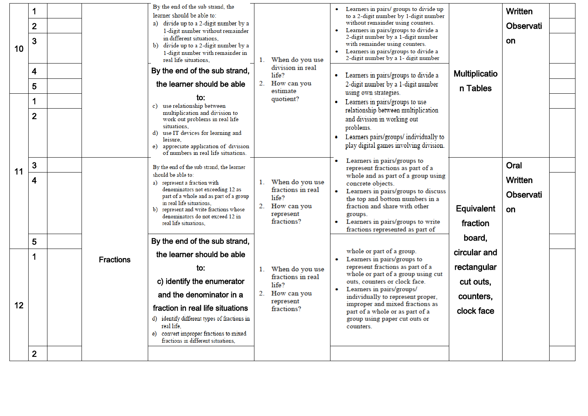| 10 <sub>1</sub> | $\mathbf 1$<br>$\overline{2}$<br>$\overline{3}$<br>4<br>5<br>1<br>$\overline{2}$ |                  | By the end of the sub strand, the<br>learner should be able to:<br>a) divide up to a 2-digit number by a<br>1-digit number without remainder<br>in different situations,<br>divide up to a 2-digit number by a<br>b)<br>1-digit number with remainder in<br>real life situations.<br>By the end of the sub strand,<br>the learner should be able<br>to:<br>c) use relationship between<br>multiplication and division to | $1_{-}$<br>2. | When do you use<br>division in real<br>$l$ ife $2$<br>How can you<br>estimate<br>quotient? | $\bullet$<br>$\bullet$ | Learners in pairs/ groups to divide up<br>to a 2-digit number by 1-digit number<br>without remainder using counters.<br>Learners in pairs/groups to divide a<br>2-digit number by a 1-digit number<br>with remainder using counters.<br>Learners in pairs/groups to divide a<br>2-digit number by a 1- digit number<br>Learners in pairs/groups to divide a<br>2-digit number by a 1-digit number<br>using own strategies.<br>Learners in pairs/groups to use<br>relationship between multiplication | <b>Multiplicatio</b><br>n Tables     | Written<br>Observati<br><b>on</b> |  |
|-----------------|----------------------------------------------------------------------------------|------------------|--------------------------------------------------------------------------------------------------------------------------------------------------------------------------------------------------------------------------------------------------------------------------------------------------------------------------------------------------------------------------------------------------------------------------|---------------|--------------------------------------------------------------------------------------------|------------------------|------------------------------------------------------------------------------------------------------------------------------------------------------------------------------------------------------------------------------------------------------------------------------------------------------------------------------------------------------------------------------------------------------------------------------------------------------------------------------------------------------|--------------------------------------|-----------------------------------|--|
| 11              | 3<br>$\overline{\mathbf{4}}$                                                     |                  | work out problems in real life<br>situations,<br>use IT devices for learning and<br>d)<br>leisure.<br>appreciate application of division<br>e)<br>of numbers in real life situations.<br>By the end of the sub strand, the learner<br>should be able to:<br>a) represent a fraction with<br>denominators not exceeding 12 as                                                                                             |               | 1. When do you use<br>fractions in real                                                    |                        | and division in working out<br>problems.<br>Learners pairs/groups/ individually to<br>play digital games involving division.<br>Learners in pairs/groups to<br>represent fractions as part of a<br>whole and as part of a group using<br>concrete objects.<br>Learners in pairs/groups to discuss                                                                                                                                                                                                    |                                      | Oral<br>Written                   |  |
|                 | 5                                                                                |                  | part of a whole and as part of a group<br>in real life situations.<br>represent and write fractions whose<br>$\mathbf{b}$<br>denominators do not exceed 12 in<br>real life situations.<br>By the end of the sub strand,                                                                                                                                                                                                  | 2.            | $l$ ife $2$<br>How can you<br>represent<br>fractions?                                      | $\bullet$              | the top and bottom numbers in a<br>fraction and share with other<br>groups.<br>Learners in pairs/groups to write<br>fractions represented as part of                                                                                                                                                                                                                                                                                                                                                 | Equivalent<br>fraction<br>board,     | Observati<br>on                   |  |
|                 | $\mathbf 1$                                                                      | <b>Fractions</b> | the learner should be able<br>to:                                                                                                                                                                                                                                                                                                                                                                                        |               |                                                                                            | $\bullet$              | whole or part of a group.<br>Learners in pairs/groups to<br>represent fractions as part of a                                                                                                                                                                                                                                                                                                                                                                                                         | circular and<br>rectangular          |                                   |  |
| 12              | $\mathbf{2}$                                                                     |                  | c) identify the enumerator<br>and the denominator in a<br>fraction in real life situations<br>d) identify different types of fractions in<br>real life.<br>convert improper fractions to mixed<br>e)<br>fractions in different situations.                                                                                                                                                                               | $1_{-}$<br>2. | When do you use<br>fractions in real<br>life?<br>How can you<br>represent<br>fractions?    |                        | whole or part of a group using cut<br>outs, counters or clock face.<br>Learners in pairs/groups/<br>individually to represent proper,<br>improper and mixed fractions as<br>part of a whole or as part of a<br>group using paper cut outs or<br>counters.                                                                                                                                                                                                                                            | cut outs,<br>counters,<br>clock face |                                   |  |